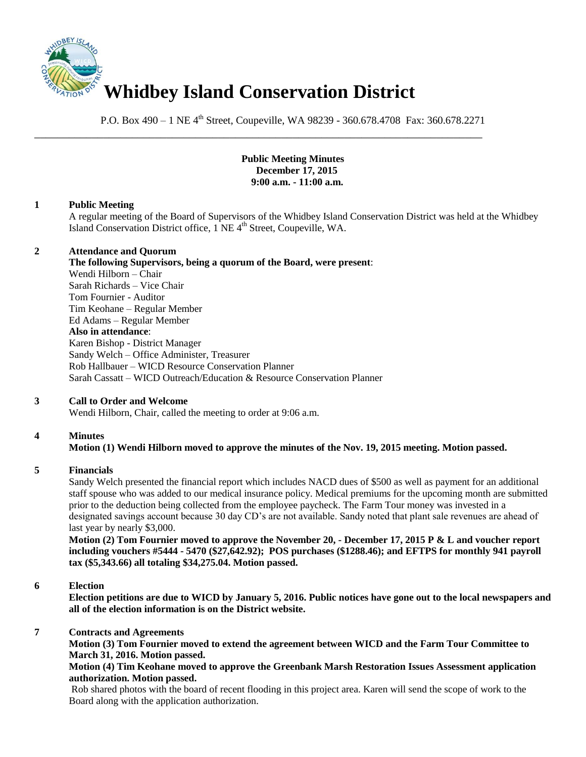

P.O. Box 490 – 1 NE 4<sup>th</sup> Street, Coupeville, WA 98239 - 360.678.4708 Fax: 360.678.2271

\_\_\_\_\_\_\_\_\_\_\_\_\_\_\_\_\_\_\_\_\_\_\_\_\_\_\_\_\_\_\_\_\_\_\_\_\_\_\_\_\_\_\_\_\_\_\_\_\_\_\_\_\_\_\_\_\_\_\_\_\_\_\_\_\_\_\_\_\_\_\_\_\_\_\_\_\_\_

### **Public Meeting Minutes December 17, 2015 9:00 a.m. - 11:00 a.m.**

### **1 Public Meeting**

A regular meeting of the Board of Supervisors of the Whidbey Island Conservation District was held at the Whidbey Island Conservation District office, 1 NE 4<sup>th</sup> Street, Coupeville, WA.

### **2 Attendance and Quorum**

**The following Supervisors, being a quorum of the Board, were present**: Wendi Hilborn – Chair Sarah Richards – Vice Chair Tom Fournier - Auditor Tim Keohane – Regular Member Ed Adams – Regular Member **Also in attendance**: Karen Bishop - District Manager Sandy Welch – Office Administer, Treasurer Rob Hallbauer – WICD Resource Conservation Planner Sarah Cassatt – WICD Outreach/Education & Resource Conservation Planner

# **3 Call to Order and Welcome**

Wendi Hilborn, Chair, called the meeting to order at 9:06 a.m.

# **4 Minutes**

# **Motion (1) Wendi Hilborn moved to approve the minutes of the Nov. 19, 2015 meeting. Motion passed.**

#### **5 Financials**

Sandy Welch presented the financial report which includes NACD dues of \$500 as well as payment for an additional staff spouse who was added to our medical insurance policy. Medical premiums for the upcoming month are submitted prior to the deduction being collected from the employee paycheck. The Farm Tour money was invested in a designated savings account because 30 day CD's are not available. Sandy noted that plant sale revenues are ahead of last year by nearly \$3,000.

**Motion (2) Tom Fournier moved to approve the November 20, - December 17, 2015 P & L and voucher report including vouchers #5444 - 5470 (\$27,642.92); POS purchases (\$1288.46); and EFTPS for monthly 941 payroll tax (\$5,343.66) all totaling \$34,275.04. Motion passed.** 

#### **6 Election**

**Election petitions are due to WICD by January 5, 2016. Public notices have gone out to the local newspapers and all of the election information is on the District website.** 

### **7 Contracts and Agreements**

**Motion (3) Tom Fournier moved to extend the agreement between WICD and the Farm Tour Committee to March 31, 2016. Motion passed.** 

#### **Motion (4) Tim Keohane moved to approve the Greenbank Marsh Restoration Issues Assessment application authorization. Motion passed.**

Rob shared photos with the board of recent flooding in this project area. Karen will send the scope of work to the Board along with the application authorization.